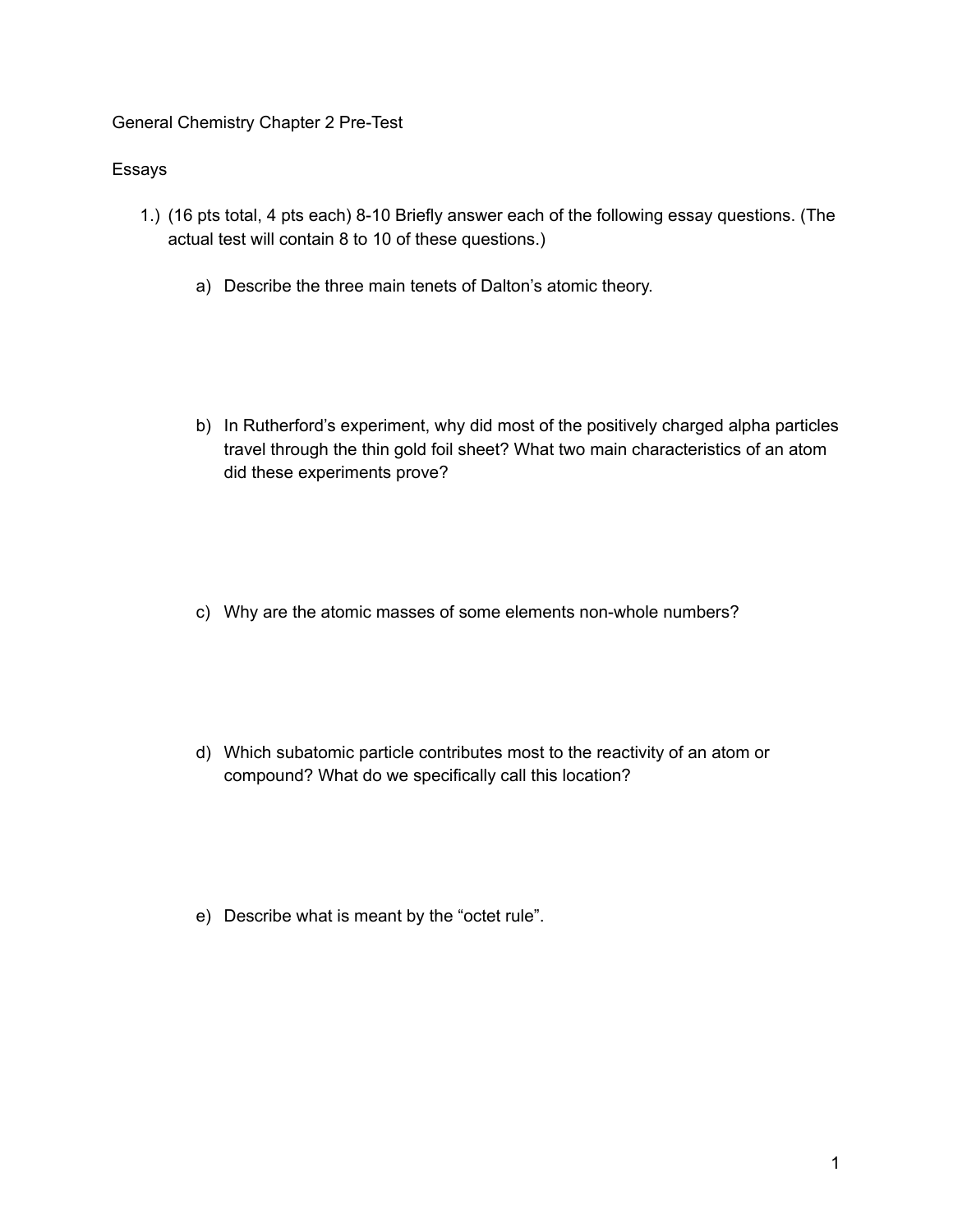General Chemistry Chapter 2 Pre-Test

## Essays

- 1.) (16 pts total, 4 pts each) 8-10 Briefly answer each of the following essay questions. (The actual test will contain 8 to 10 of these questions.)
	- a) Describe the three main tenets of Dalton's atomic theory.
	- b) In Rutherford's experiment, why did most of the positively charged alpha particles travel through the thin gold foil sheet? What two main characteristics of an atom did these experiments prove?
	- c) Why are the atomic masses of some elements non-whole numbers?
	- d) Which subatomic particle contributes most to the reactivity of an atom or compound? What do we specifically call this location?
	- e) Describe what is meant by the "octet rule".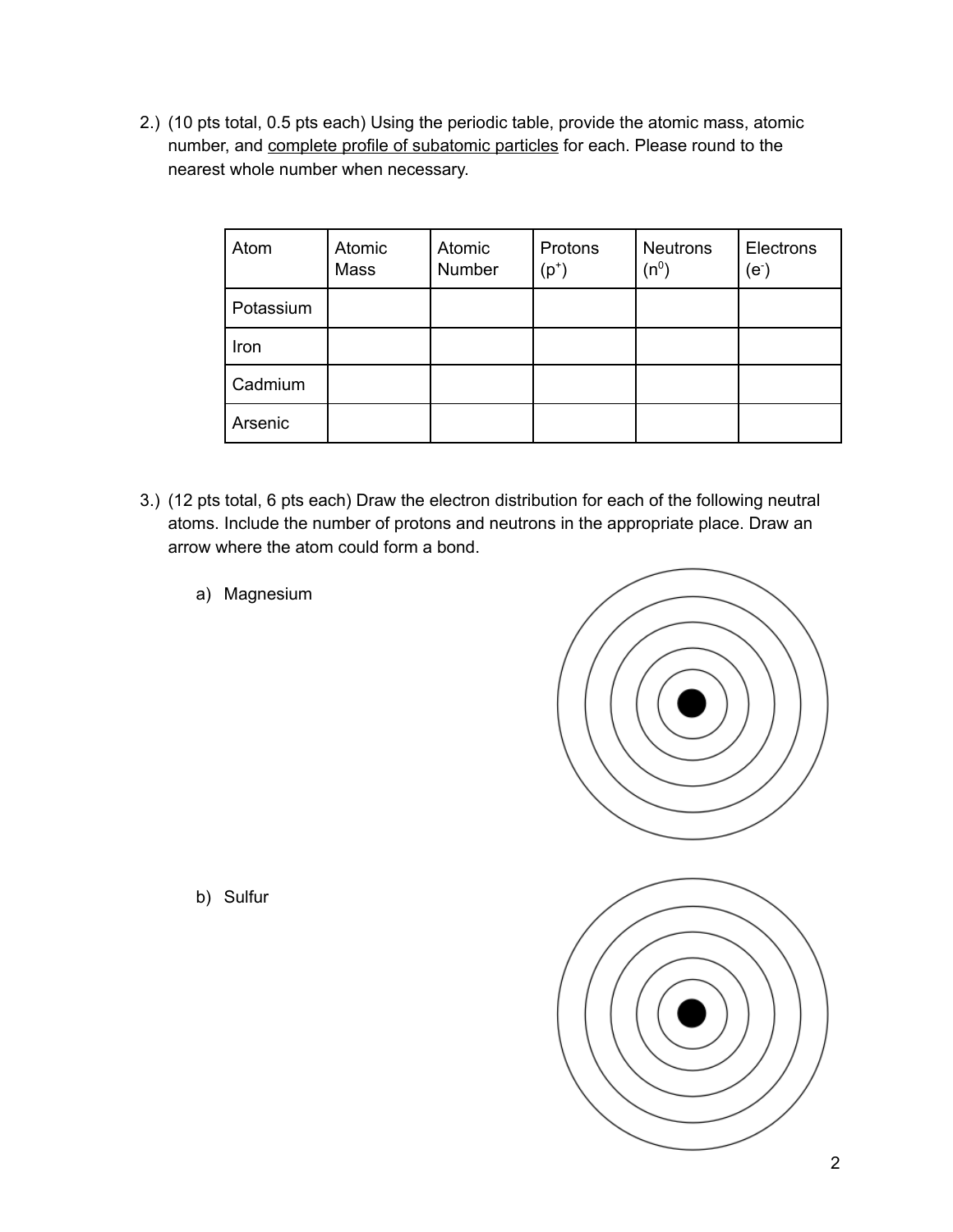2.) (10 pts total, 0.5 pts each) Using the periodic table, provide the atomic mass, atomic number, and complete profile of subatomic particles for each. Please round to the nearest whole number when necessary.

| Atom      | Atomic<br>Mass | Atomic<br>Number | Protons<br>$(p^+)$ | <b>Neutrons</b><br>$(n^0)$ | Electrons<br>(e <sub>1</sub> ) |
|-----------|----------------|------------------|--------------------|----------------------------|--------------------------------|
| Potassium |                |                  |                    |                            |                                |
| Iron      |                |                  |                    |                            |                                |
| Cadmium   |                |                  |                    |                            |                                |
| Arsenic   |                |                  |                    |                            |                                |

- 3.) (12 pts total, 6 pts each) Draw the electron distribution for each of the following neutral atoms. Include the number of protons and neutrons in the appropriate place. Draw an arrow where the atom could form a bond.
	- a) Magnesium



b) Sulfur

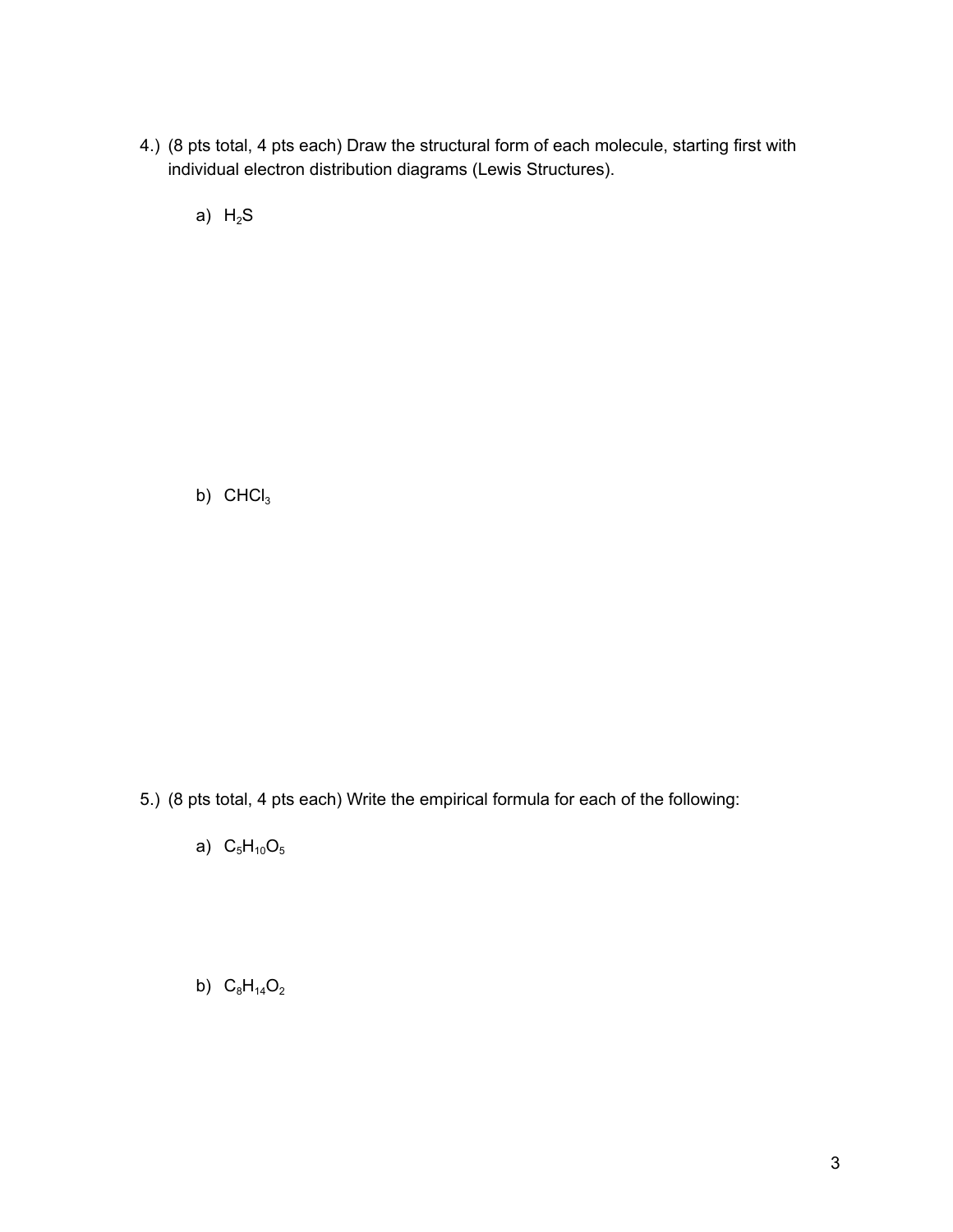4.) (8 pts total, 4 pts each) Draw the structural form of each molecule, starting first with individual electron distribution diagrams (Lewis Structures).

a)  $H_2S$ 

b)  $CHCl<sub>3</sub>$ 

5.) (8 pts total, 4 pts each) Write the empirical formula for each of the following:

a)  $C_5H_{10}O_5$ 

b)  $C_8H_{14}O_2$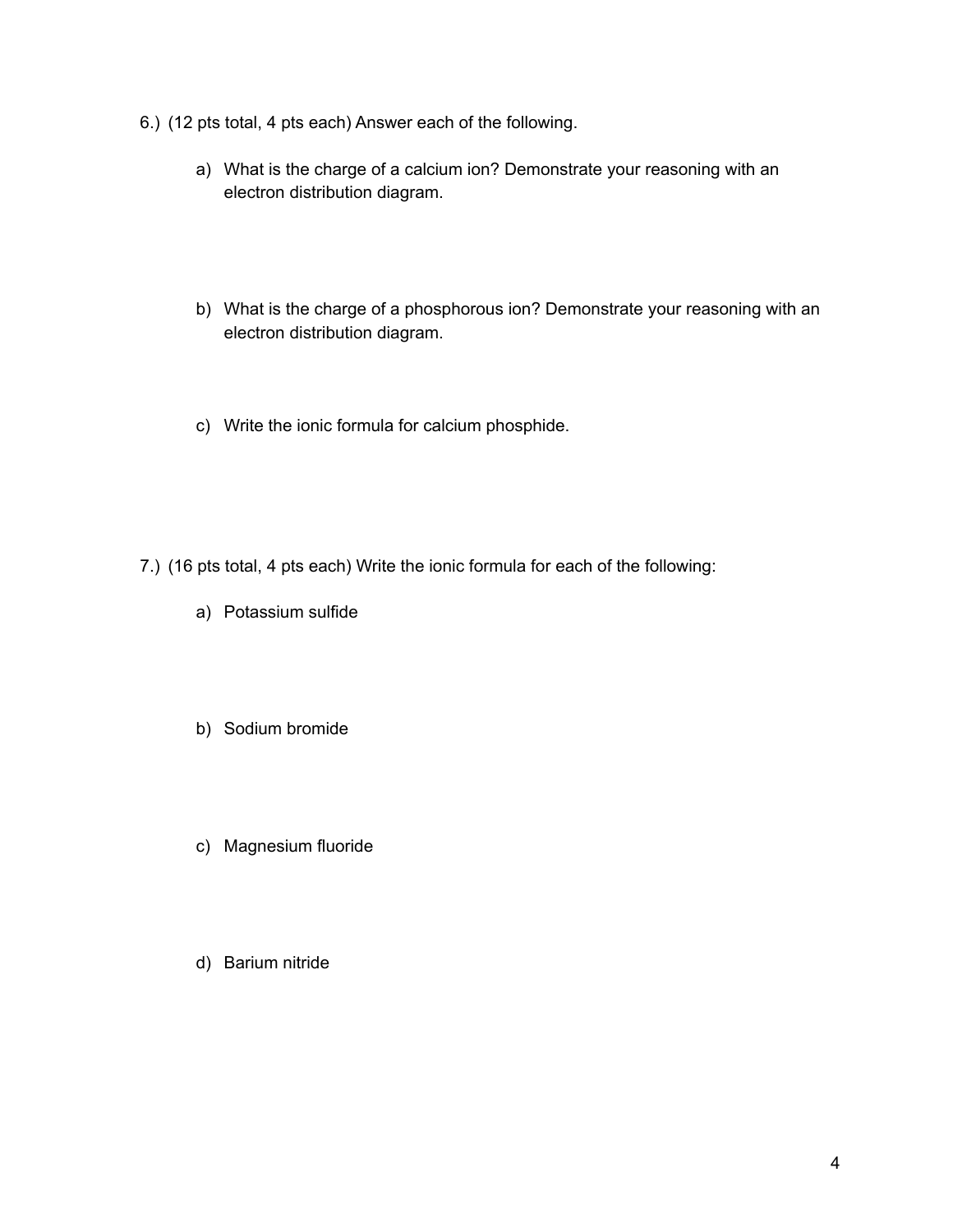- 6.) (12 pts total, 4 pts each) Answer each of the following.
	- a) What is the charge of a calcium ion? Demonstrate your reasoning with an electron distribution diagram.
	- b) What is the charge of a phosphorous ion? Demonstrate your reasoning with an electron distribution diagram.
	- c) Write the ionic formula for calcium phosphide.
- 7.) (16 pts total, 4 pts each) Write the ionic formula for each of the following:
	- a) Potassium sulfide
	- b) Sodium bromide
	- c) Magnesium fluoride
	- d) Barium nitride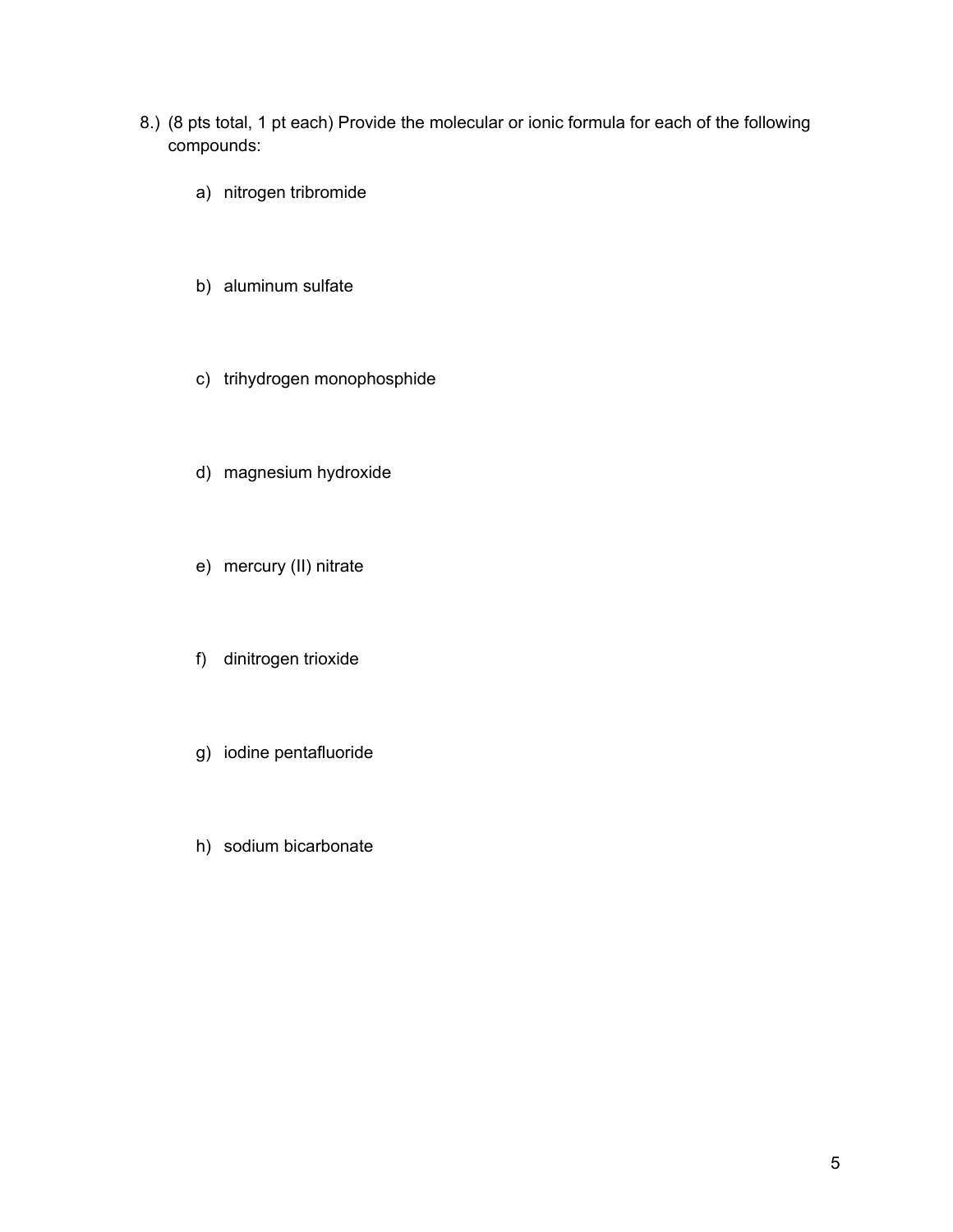- 8.) (8 pts total, 1 pt each) Provide the molecular or ionic formula for each of the following compounds:
	- a) nitrogen tribromide
	- b) aluminum sulfate
	- c) trihydrogen monophosphide
	- d) magnesium hydroxide
	- e) mercury (II) nitrate
	- f) dinitrogen trioxide
	- g) iodine pentafluoride
	- h) sodium bicarbonate